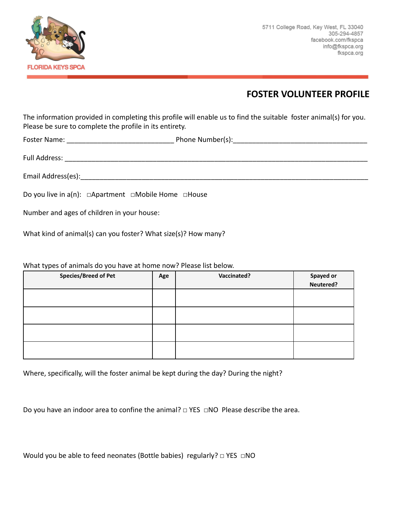

## **FOSTER VOLUNTEER PROFILE**

The information provided in completing this profile will enable us to find the suitable foster animal(s) for you. Please be sure to complete the profile in its entirety.

Foster Name: The Communication of the Phone Number(s):

Full Address: \_\_\_\_\_\_\_\_\_\_\_\_\_\_\_\_\_\_\_\_\_\_\_\_\_\_\_\_\_\_\_\_\_\_\_\_\_\_\_\_\_\_\_\_\_\_\_\_\_\_\_\_\_\_\_\_\_\_\_\_\_\_\_\_\_\_\_\_\_\_\_\_\_\_\_\_\_\_\_

Email Address(es): etc. and the state of the state of the state of the state of the state of the state of the state of the state of the state of the state of the state of the state of the state of the state of the state of

Do you live in a(n): □Apartment □Mobile Home □House

Number and ages of children in your house:

What kind of animal(s) can you foster? What size(s)? How many?

What types of animals do you have at home now? Please list below.

| <b>Species/Breed of Pet</b> | Age | <b>Vaccinated?</b> | Spayed or<br>Neutered? |
|-----------------------------|-----|--------------------|------------------------|
|                             |     |                    |                        |
|                             |     |                    |                        |
|                             |     |                    |                        |
|                             |     |                    |                        |
|                             |     |                    |                        |

Where, specifically, will the foster animal be kept during the day? During the night?

Do you have an indoor area to confine the animal? □ YES □NO Please describe the area.

| Would you be able to feed neonates (Bottle babies) regularly? $\Box$ YES $\Box$ NO |  |
|------------------------------------------------------------------------------------|--|
|------------------------------------------------------------------------------------|--|